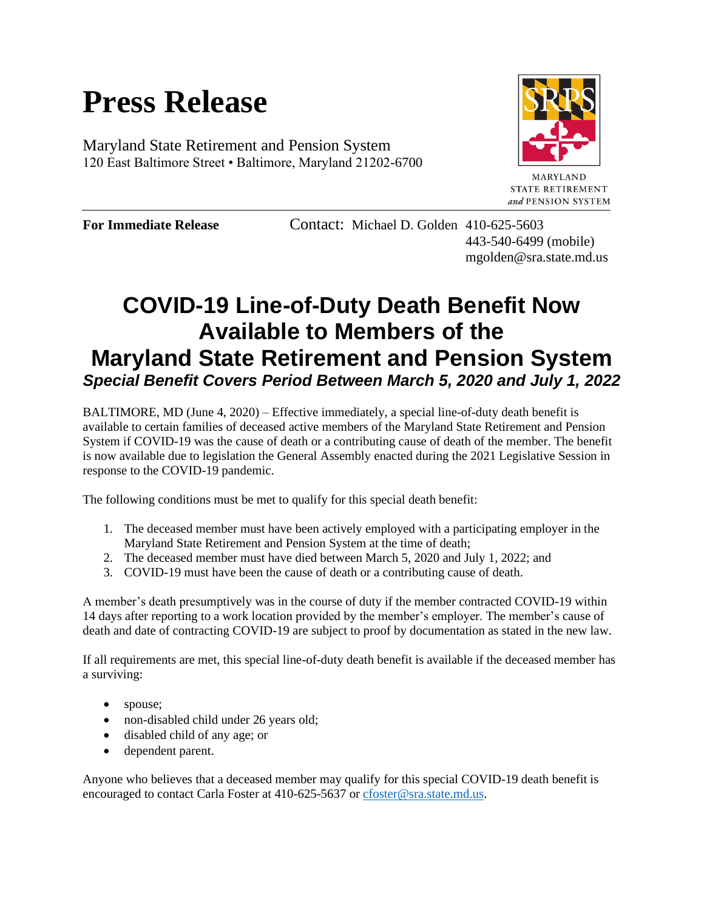## **Press Release**

Maryland State Retirement and Pension System 120 East Baltimore Street • Baltimore, Maryland 21202-6700



**MARYLAND STATE RETIREMENT** and PENSION SYSTEM

**For Immediate Release Contact: Michael D. Golden 410-625-5603** 443-540-6499 (mobile) mgolden@sra.state.md.us

## **COVID-19 Line-of-Duty Death Benefit Now Available to Members of the Maryland State Retirement and Pension System** *Special Benefit Covers Period Between March 5, 2020 and July 1, 2022*

BALTIMORE, MD (June 4, 2020) – Effective immediately, a special line-of-duty death benefit is available to certain families of deceased active members of the Maryland State Retirement and Pension System if COVID-19 was the cause of death or a contributing cause of death of the member. The benefit is now available due to legislation the General Assembly enacted during the 2021 Legislative Session in response to the COVID-19 pandemic.

The following conditions must be met to qualify for this special death benefit:

- 1. The deceased member must have been actively employed with a participating employer in the Maryland State Retirement and Pension System at the time of death;
- 2. The deceased member must have died between March 5, 2020 and July 1, 2022; and
- 3. COVID-19 must have been the cause of death or a contributing cause of death.

A member's death presumptively was in the course of duty if the member contracted COVID-19 within 14 days after reporting to a work location provided by the member's employer. The member's cause of death and date of contracting COVID-19 are subject to proof by documentation as stated in the new law.

If all requirements are met, this special line-of-duty death benefit is available if the deceased member has a surviving:

- spouse;
- non-disabled child under 26 years old;
- disabled child of any age; or
- dependent parent.

Anyone who believes that a deceased member may qualify for this special COVID-19 death benefit is encouraged to contact Carla Foster at 410-625-5637 or [cfoster@sra.state.md.us.](mailto:cfoster@sra.state.md.us)